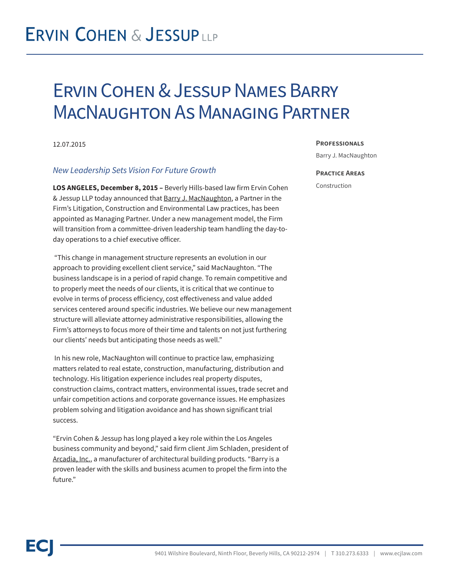## **ERVIN COHEN & JESSUPLLP**

## Ervin Cohen & Jessup Names Barry MacNaughton As Managing Partner

### 12.07.2015

## *New Leadership Sets Vision For Future Growth*

**LOS ANGELES, December 8, 2015 –** Beverly Hills-based law firm Ervin Cohen & Jessup LLP today announced that Barry J. MacNaughton, a Partner in the Firm's Litigation, Construction and Environmental Law practices, has been appointed as Managing Partner. Under a new management model, the Firm will transition from a committee-driven leadership team handling the day-today operations to a chief executive officer.

 "This change in management structure represents an evolution in our approach to providing excellent client service," said MacNaughton. "The business landscape is in a period of rapid change. To remain competitive and to properly meet the needs of our clients, it is critical that we continue to evolve in terms of process efficiency, cost effectiveness and value added services centered around specific industries. We believe our new management structure will alleviate attorney administrative responsibilities, allowing the Firm's attorneys to focus more of their time and talents on not just furthering our clients' needs but anticipating those needs as well."

 In his new role, MacNaughton will continue to practice law, emphasizing matters related to real estate, construction, manufacturing, distribution and technology. His litigation experience includes real property disputes, construction claims, contract matters, environmental issues, trade secret and unfair competition actions and corporate governance issues. He emphasizes problem solving and litigation avoidance and has shown significant trial success.

"Ervin Cohen & Jessup has long played a key role within the Los Angeles business community and beyond," said firm client Jim Schladen, president of Arcadia, Inc., a manufacturer of architectural building products. "Barry is a proven leader with the skills and business acumen to propel the firm into the future."

#### **Professionals**

Barry J. MacNaughton

#### **Practice Areas**

Construction